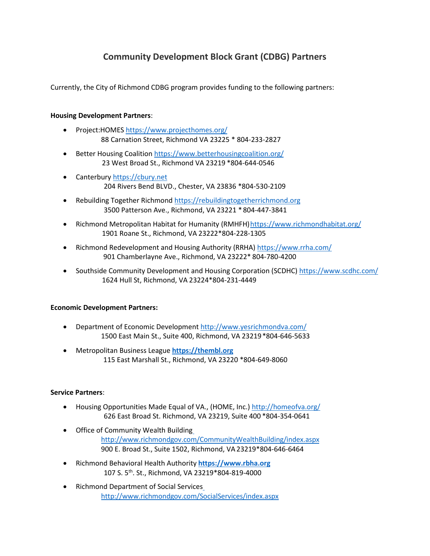# **Community Development Block Grant (CDBG) Partners**

Currently, the City of Richmond CDBG program provides funding to the following partners:

### **Housing Development Partners**:

- Project:HOMES <https://www.projecthomes.org/> 88 Carnation Street, Richmond VA 23225 \* 804-233-2827
- Better Housing Coalition <https://www.betterhousingcoalition.org/> 23 West Broad St., Richmond VA 23219 \*804-644-0546
- Canterbury [https://cbury.net](https://cbury.net/) 204 Rivers Bend BLVD., Chester, VA 23836 \*804-530-2109
- Rebuilding Together Richmond [https://rebuildingtogetherrichmond.org](https://rebuildingtogetherrichmond.org/) 3500 Patterson Ave., Richmond, VA 23221 \* 804-447-3841
- Richmond Metropolitan Habitat for Humanity (RMHFH) https://www.richmondhabitat.org/ 1901 Roane St., Richmond, VA 23222\*804-228-1305
- Richmond Redevelopment and Housing Authority (RRHA) <https://www.rrha.com/> 901 Chamberlayne Ave., Richmond, VA 23222\* 804-780-4200
- Southside Community Development and Housing Corporation (SCDHC) <https://www.scdhc.com/> 1624 Hull St, Richmond, VA 23224\*804-231-4449

### **Economic Development Partners:**

- Department of Economic Development <http://www.yesrichmondva.com/> 1500 East Main St., Suite 400, Richmond, VA 23219\*804-646-5633
- Metropolitan Business League **[https://thembl.org](https://thembl.org/)** 115 East Marshall St., Richmond, VA 23220 \*804-649-8060

### **Service Partners**:

- Housing Opportunities Made Equal of VA., (HOME, Inc.) <http://homeofva.org/> 626 East Broad St. Richmond, VA 23219, Suite 400 \*804-354-0641
- Office of Community Wealth Buildin[g](http://www.richmondgov.com/CommunityWealthBuilding/index.aspx) <http://www.richmondgov.com/CommunityWealthBuilding/index.aspx> 900 E. Broad St., Suite 1502, Richmond, VA23219\*804-646-6464
- Richmond Behavioral Health Authority **[https://www.rbha.org](https://www.rbha.org/)** 107 S. 5th. St., Richmond, VA 23219\*804-819-4000
- Richmond Department of Social Service[s](http://www.richmondgov.com/SocialServices/index.aspx) <http://www.richmondgov.com/SocialServices/index.aspx>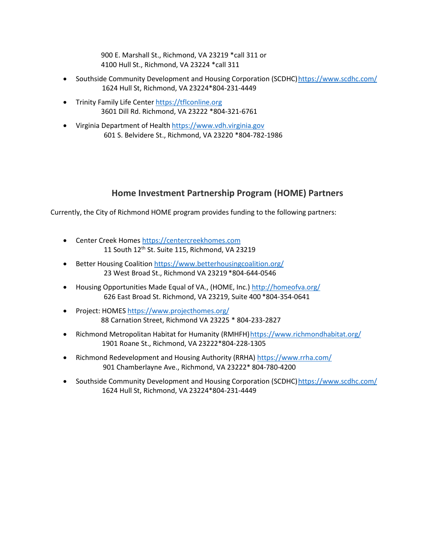900 E. Marshall St., Richmond, VA 23219 \*call 311 or 4100 Hull St., Richmond, VA 23224 \*call 311

- Southside Community Development and Housing Corporation (SCDHC[\)https://www.scdhc.com/](https://www.scdhc.com/) 1624 Hull St, Richmond, VA 23224\*804-231-4449
- Trinity Family Life Center [https://tflconline.org](https://tflconline.org/) 3601 Dill Rd. Richmond, VA 23222 \*804-321-6761
- Virginia Department of Health [https://www.vdh.virginia.gov](https://www.vdh.virginia.gov/) 601 S. Belvidere St., Richmond, VA 23220 \*804-782-1986

### **Home Investment Partnership Program (HOME) Partners**

Currently, the City of Richmond HOME program provides funding to the following partners:

- Center Creek Homes [https://centercreekhomes.com](https://centercreekhomes.com/) 11 South 12<sup>th</sup> St. Suite 115, Richmond, VA 23219
- Better Housing Coalition <https://www.betterhousingcoalition.org/> 23 West Broad St., Richmond VA 23219 \*804-644-0546
- Housing Opportunities Made Equal of VA., (HOME, Inc.) <http://homeofva.org/> 626 East Broad St. Richmond, VA 23219, Suite 400 \*804-354-0641
- Project: HOMES <https://www.projecthomes.org/> 88 Carnation Street, Richmond VA 23225 \* 804-233-2827
- Richmond Metropolitan Habitat for Humanity (RMHFH) https://www.richmondhabitat.org/ 1901 Roane St., Richmond, VA 23222\*804-228-1305
- Richmond Redevelopment and Housing Authority (RRHA) <https://www.rrha.com/> 901 Chamberlayne Ave., Richmond, VA 23222\* 804-780-4200
- Southside Community Development and Housing Corporation (SCDHC) https://www.scdhc.com/ 1624 Hull St, Richmond, VA 23224\*804-231-4449